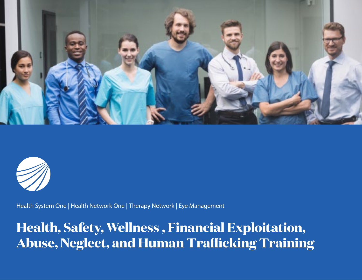



Health System One | Health Network One | Therapy Network | Eye Management

**Health, Safety, Wellness , Financial Exploitation, Abuse, Neglect, and Human Trafficking Training**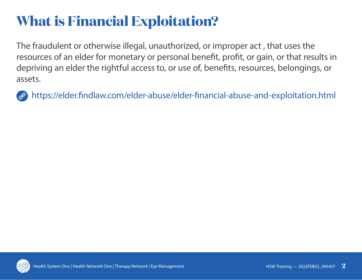## **What is Financial Exploitation?**

The fraudulent or otherwise illegal, unauthorized, or improper act , that uses the resources of an elder for monetary or personal benefit, profit, or gain, or that results in depriving an elder the rightful access to, or use of, benefits, resources, belongings, or assets.

https://elder.findlaw.com/elder-abuse/elder-financial-abuse-and-exploitation.html

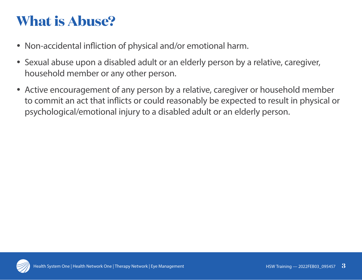## **What is Abuse?**

- Non-accidental infliction of physical and/or emotional harm.
- Sexual abuse upon a disabled adult or an elderly person by a relative, caregiver, household member or any other person.
- Active encouragement of any person by a relative, caregiver or household member to commit an act that inflicts or could reasonably be expected to result in physical or psychological/emotional injury to a disabled adult or an elderly person.

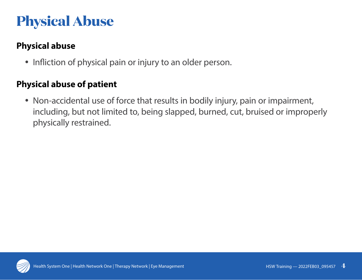## **Physical Abuse**

### **Physical abuse**

• Infliction of physical pain or injury to an older person.

#### **Physical abuse of patient**

• Non-accidental use of force that results in bodily injury, pain or impairment, including, but not limited to, being slapped, burned, cut, bruised or improperly physically restrained.

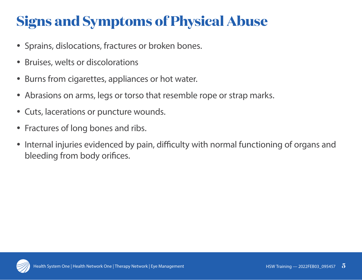# **Signs and Symptoms of Physical Abuse**

- Sprains, dislocations, fractures or broken bones.
- Bruises, welts or discolorations
- Burns from cigarettes, appliances or hot water.
- Abrasions on arms, legs or torso that resemble rope or strap marks.
- Cuts, lacerations or puncture wounds.
- Fractures of long bones and ribs.
- Internal injuries evidenced by pain, difficulty with normal functioning of organs and bleeding from body orifices.

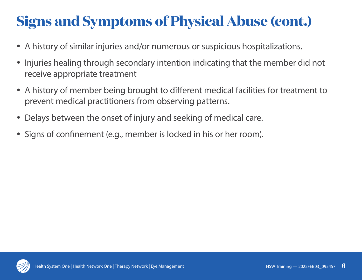# **Signs and Symptoms of Physical Abuse (cont.)**

- A history of similar injuries and/or numerous or suspicious hospitalizations.
- Injuries healing through secondary intention indicating that the member did not receive appropriate treatment
- A history of member being brought to different medical facilities for treatment to prevent medical practitioners from observing patterns.
- Delays between the onset of injury and seeking of medical care.
- Signs of confinement (e.g., member is locked in his or her room).

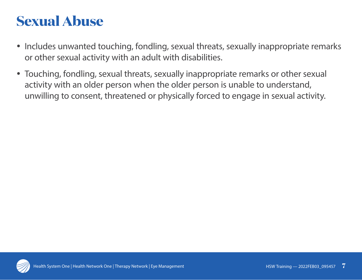### **Sexual Abuse**

- Includes unwanted touching, fondling, sexual threats, sexually inappropriate remarks or other sexual activity with an adult with disabilities.
- Touching, fondling, sexual threats, sexually inappropriate remarks or other sexual activity with an older person when the older person is unable to understand, unwilling to consent, threatened or physically forced to engage in sexual activity.

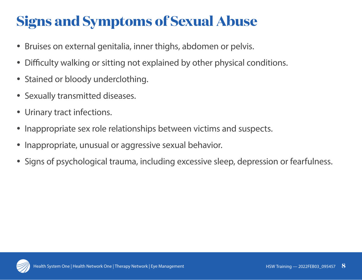# **Signs and Symptoms of Sexual Abuse**

- Bruises on external genitalia, inner thighs, abdomen or pelvis.
- Difficulty walking or sitting not explained by other physical conditions.
- Stained or bloody underclothing.
- Sexually transmitted diseases.
- Urinary tract infections.
- Inappropriate sex role relationships between victims and suspects.
- Inappropriate, unusual or aggressive sexual behavior.
- Signs of psychological trauma, including excessive sleep, depression or fearfulness.

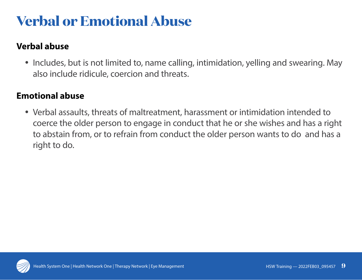## **Verbal or Emotional Abuse**

### **Verbal abuse**

• Includes, but is not limited to, name calling, intimidation, yelling and swearing. May also include ridicule, coercion and threats.

#### **Emotional abuse**

• Verbal assaults, threats of maltreatment, harassment or intimidation intended to coerce the older person to engage in conduct that he or she wishes and has a right to abstain from, or to refrain from conduct the older person wants to do and has a right to do.

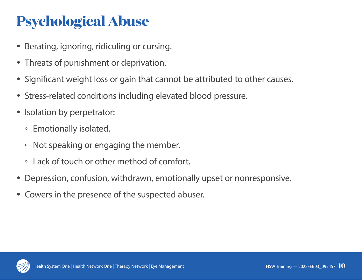# **Psychological Abuse**

- Berating, ignoring, ridiculing or cursing.
- Threats of punishment or deprivation.
- Significant weight loss or gain that cannot be attributed to other causes.
- Stress-related conditions including elevated blood pressure.
- Isolation by perpetrator:
	- Emotionally isolated.
	- Not speaking or engaging the member.
	- Lack of touch or other method of comfort.
- Depression, confusion, withdrawn, emotionally upset or nonresponsive.
- Cowers in the presence of the suspected abuser.

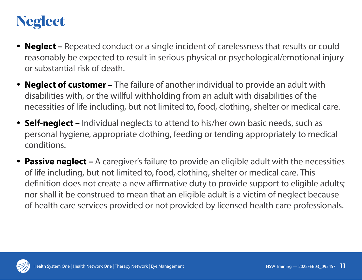### **Neglect**

- **Neglect** Repeated conduct or a single incident of carelessness that results or could reasonably be expected to result in serious physical or psychological/emotional injury or substantial risk of death.
- **Neglect of customer** The failure of another individual to provide an adult with disabilities with, or the willful withholding from an adult with disabilities of the necessities of life including, but not limited to, food, clothing, shelter or medical care.
- **Self-neglect** Individual neglects to attend to his/her own basic needs, such as personal hygiene, appropriate clothing, feeding or tending appropriately to medical conditions.
- Passive neglect A caregiver's failure to provide an eligible adult with the necessities of life including, but not limited to, food, clothing, shelter or medical care. This definition does not create a new affirmative duty to provide support to eligible adults; nor shall it be construed to mean that an eligible adult is a victim of neglect because of health care services provided or not provided by licensed health care professionals.

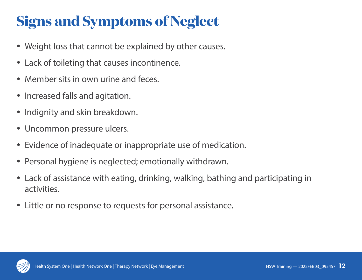# **Signs and Symptoms of Neglect**

- Weight loss that cannot be explained by other causes.
- Lack of toileting that causes incontinence.
- Member sits in own urine and feces.
- Increased falls and agitation.
- Indignity and skin breakdown.
- Uncommon pressure ulcers.
- Evidence of inadequate or inappropriate use of medication.
- Personal hygiene is neglected; emotionally withdrawn.
- Lack of assistance with eating, drinking, walking, bathing and participating in activities.
- Little or no response to requests for personal assistance.

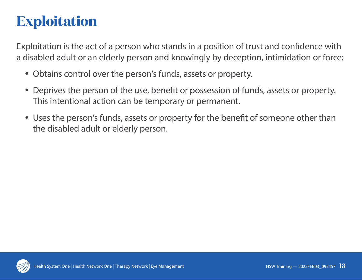## **Exploitation**

Exploitation is the act of a person who stands in a position of trust and confidence with a disabled adult or an elderly person and knowingly by deception, intimidation or force:

- Obtains control over the person's funds, assets or property.
- Deprives the person of the use, benefit or possession of funds, assets or property. This intentional action can be temporary or permanent.
- Uses the person's funds, assets or property for the benefit of someone other than the disabled adult or elderly person.

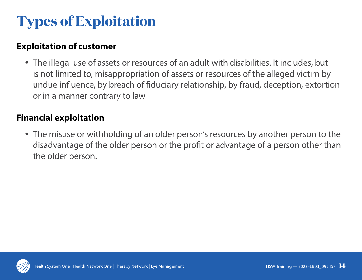# **Types of Exploitation**

### **Exploitation of customer**

• The illegal use of assets or resources of an adult with disabilities. It includes, but is not limited to, misappropriation of assets or resources of the alleged victim by undue influence, by breach of fiduciary relationship, by fraud, deception, extortion or in a manner contrary to law.

#### **Financial exploitation**

• The misuse or withholding of an older person's resources by another person to the disadvantage of the older person or the profit or advantage of a person other than the older person.

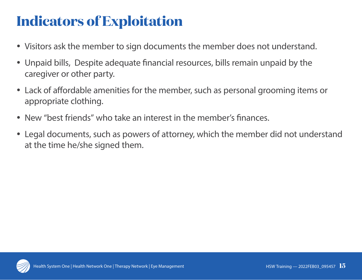## **Indicators of Exploitation**

- Visitors ask the member to sign documents the member does not understand.
- Unpaid bills, Despite adequate financial resources, bills remain unpaid by the caregiver or other party.
- Lack of affordable amenities for the member, such as personal grooming items or appropriate clothing.
- New "best friends" who take an interest in the member's finances.
- Legal documents, such as powers of attorney, which the member did not understand at the time he/she signed them.

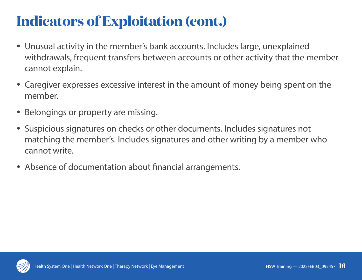## **Indicators of Exploitation (cont.)**

- Unusual activity in the member's bank accounts. Includes large, unexplained withdrawals, frequent transfers between accounts or other activity that the member cannot explain.
- Caregiver expresses excessive interest in the amount of money being spent on the member.
- Belongings or property are missing.
- Suspicious signatures on checks or other documents. Includes signatures not matching the member's. Includes signatures and other writing by a member who cannot write.
- Absence of documentation about financial arrangements.

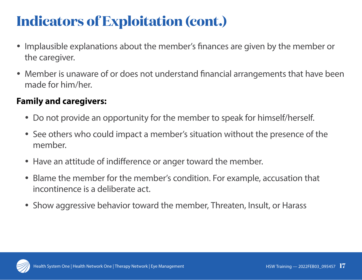## **Indicators of Exploitation (cont.)**

- Implausible explanations about the member's finances are given by the member or the caregiver.
- Member is unaware of or does not understand financial arrangements that have been made for him/her.

#### **Family and caregivers:**

- Do not provide an opportunity for the member to speak for himself/herself.
- See others who could impact a member's situation without the presence of the member.
- Have an attitude of indifference or anger toward the member.
- Blame the member for the member's condition. For example, accusation that incontinence is a deliberate act.
- Show aggressive behavior toward the member, Threaten, Insult, or Harass

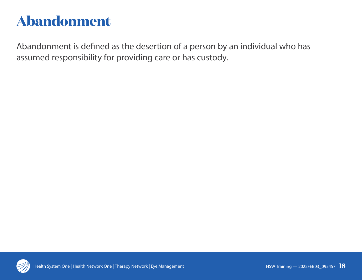## **Abandonment**

Abandonment is defined as the desertion of a person by an individual who has assumed responsibility for providing care or has custody.

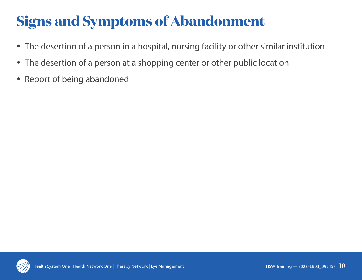# **Signs and Symptoms of Abandonment**

- The desertion of a person in a hospital, nursing facility or other similar institution
- The desertion of a person at a shopping center or other public location
- Report of being abandoned

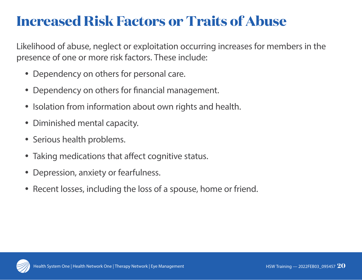### **Increased Risk Factors or Traits of Abuse**

Likelihood of abuse, neglect or exploitation occurring increases for members in the presence of one or more risk factors. These include:

- Dependency on others for personal care.
- Dependency on others for financial management.
- Isolation from information about own rights and health.
- Diminished mental capacity.
- Serious health problems.
- Taking medications that affect cognitive status.
- Depression, anxiety or fearfulness.
- Recent losses, including the loss of a spouse, home or friend.

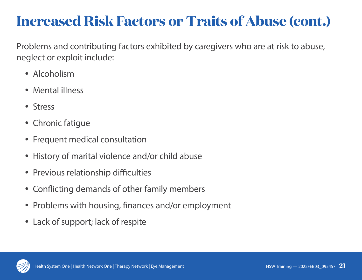### **Increased Risk Factors or Traits of Abuse (cont.)**

Problems and contributing factors exhibited by caregivers who are at risk to abuse, neglect or exploit include:

- Alcoholism
- Mental illness
- Stress
- Chronic fatigue
- Frequent medical consultation
- History of marital violence and/or child abuse
- Previous relationship difficulties
- Conflicting demands of other family members
- Problems with housing, finances and/or employment
- Lack of support; lack of respite

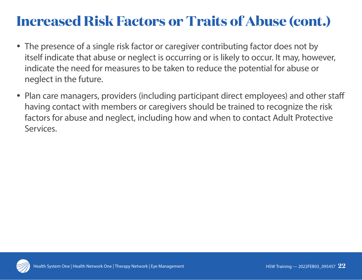### **Increased Risk Factors or Traits of Abuse (cont.)**

- The presence of a single risk factor or caregiver contributing factor does not by itself indicate that abuse or neglect is occurring or is likely to occur. It may, however, indicate the need for measures to be taken to reduce the potential for abuse or neglect in the future.
- Plan care managers, providers (including participant direct employees) and other staff having contact with members or caregivers should be trained to recognize the risk factors for abuse and neglect, including how and when to contact Adult Protective Services.

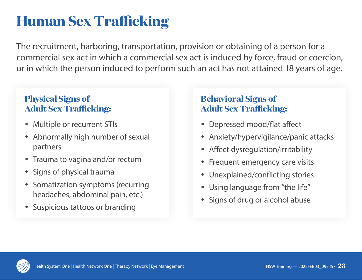## **Human Sex Trafficking**

The recruitment, harboring, transportation, provision or obtaining of a person for a commercial sex act in which a commercial sex act is induced by force, fraud or coercion, or in which the person induced to perform such an act has not attained 18 years of age.

#### **Physical Signs of Adult Sex Trafficking:**

- Multiple or recurrent STIs
- Abnormally high number of sexual partners
- Trauma to vagina and/or rectum
- Signs of physical trauma
- Somatization symptoms (recurring headaches, abdominal pain, etc.)
- Suspicious tattoos or branding

### **Behavioral Signs of Adult Sex Trafficking:**

- Depressed mood/flat affect
- Anxiety/hypervigilance/panic attacks
- Affect dysregulation/irritability
- Frequent emergency care visits
- Unexplained/conflicting stories
- Using language from "the life"
- Signs of drug or alcohol abuse

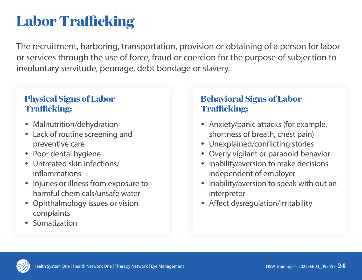## **Labor Trafficking**

The recruitment, harboring, transportation, provision or obtaining of a person for labor or services through the use of force, fraud or coercion for the purpose of subjection to involuntary servitude, peonage, debt bondage or slavery.

#### **Physical Signs of Labor Trafficking:**

- Malnutrition/dehydration
- Lack of routine screening and preventive care
- Poor dental hygiene
- Untreated skin infections/ inflammations
- Injuries or illness from exposure to harmful chemicals/unsafe water
- Ophthalmology issues or vision complaints
- Somatization

#### **Behavioral Signs of Labor Trafficking:**

- Anxiety/panic attacks (for example, shortness of breath, chest pain)
- Unexplained/conflicting stories
- Overly vigilant or paranoid behavior
- Inability/aversion to make decisions independent of employer
- Inability/aversion to speak with out an interpreter
- Affect dysregulation/irritability

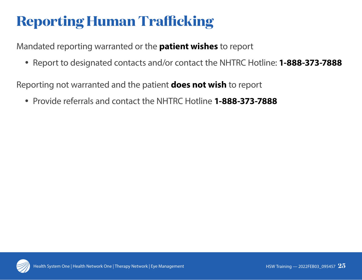# **Reporting Human Trafficking**

Mandated reporting warranted or the **patient wishes** to report

y Report to designated contacts and/or contact the NHTRC Hotline: **1-888-373-7888**

Reporting not warranted and the patient **does not wish** to report

y Provide referrals and contact the NHTRC Hotline **1-888-373-7888**

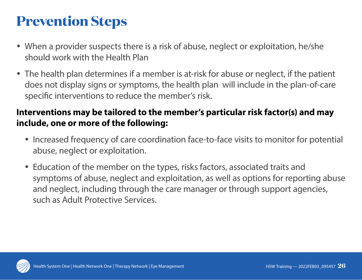## **Prevention Steps**

- When a provider suspects there is a risk of abuse, neglect or exploitation, he/she should work with the Health Plan
- The health plan determines if a member is at-risk for abuse or neglect, if the patient does not display signs or symptoms, the health plan will include in the plan-of-care specific interventions to reduce the member's risk.

#### **Interventions may be tailored to the member's particular risk factor(s) and may include, one or more of the following:**

- Increased frequency of care coordination face-to-face visits to monitor for potential abuse, neglect or exploitation.
- Education of the member on the types, risks factors, associated traits and symptoms of abuse, neglect and exploitation, as well as options for reporting abuse and neglect, including through the care manager or through support agencies, such as Adult Protective Services.

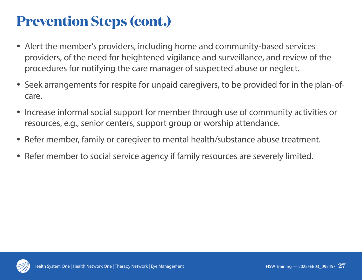## **Prevention Steps (cont.)**

- Alert the member's providers, including home and community-based services providers, of the need for heightened vigilance and surveillance, and review of the procedures for notifying the care manager of suspected abuse or neglect.
- Seek arrangements for respite for unpaid caregivers, to be provided for in the plan-ofcare.
- Increase informal social support for member through use of community activities or resources, e.g., senior centers, support group or worship attendance.
- Refer member, family or caregiver to mental health/substance abuse treatment.
- Refer member to social service agency if family resources are severely limited.

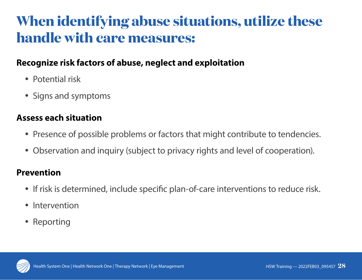### **When identifying abuse situations, utilize these handle with care measures:**

#### **Recognize risk factors of abuse, neglect and exploitation**

- Potential risk
- Signs and symptoms

#### **Assess each situation**

- Presence of possible problems or factors that might contribute to tendencies.
- Observation and inquiry (subject to privacy rights and level of cooperation).

#### **Prevention**

- If risk is determined, include specific plan-of-care interventions to reduce risk.
- Intervention
- Reporting

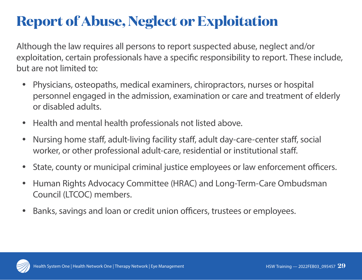## **Report of Abuse, Neglect or Exploitation**

Although the law requires all persons to report suspected abuse, neglect and/or exploitation, certain professionals have a specific responsibility to report. These include, but are not limited to:

- Physicians, osteopaths, medical examiners, chiropractors, nurses or hospital personnel engaged in the admission, examination or care and treatment of elderly or disabled adults.
- Health and mental health professionals not listed above.
- Nursing home staff, adult-living facility staff, adult day-care-center staff, social worker, or other professional adult-care, residential or institutional staff.
- State, county or municipal criminal justice employees or law enforcement officers.
- Human Rights Advocacy Committee (HRAC) and Long-Term-Care Ombudsman Council (LTCOC) members.
- Banks, savings and loan or credit union officers, trustees or employees.

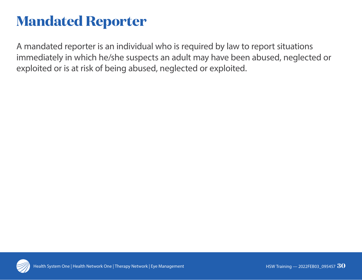### **Mandated Reporter**

A mandated reporter is an individual who is required by law to report situations immediately in which he/she suspects an adult may have been abused, neglected or exploited or is at risk of being abused, neglected or exploited.

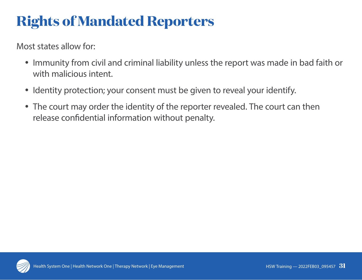# **Rights of Mandated Reporters**

Most states allow for:

- Immunity from civil and criminal liability unless the report was made in bad faith or with malicious intent.
- Identity protection; your consent must be given to reveal your identify.
- The court may order the identity of the reporter revealed. The court can then release confidential information without penalty.

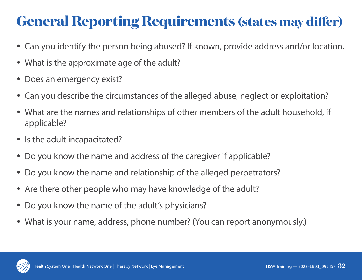## **General Reporting Requirements (states may differ)**

- Can you identify the person being abused? If known, provide address and/or location.
- What is the approximate age of the adult?
- Does an emergency exist?
- Can you describe the circumstances of the alleged abuse, neglect or exploitation?
- What are the names and relationships of other members of the adult household, if applicable?
- Is the adult incapacitated?
- Do you know the name and address of the caregiver if applicable?
- Do you know the name and relationship of the alleged perpetrators?
- Are there other people who may have knowledge of the adult?
- Do you know the name of the adult's physicians?
- What is your name, address, phone number? (You can report anonymously.)

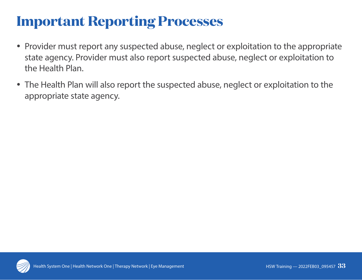### **Important Reporting Processes**

- Provider must report any suspected abuse, neglect or exploitation to the appropriate state agency. Provider must also report suspected abuse, neglect or exploitation to the Health Plan.
- The Health Plan will also report the suspected abuse, neglect or exploitation to the appropriate state agency.

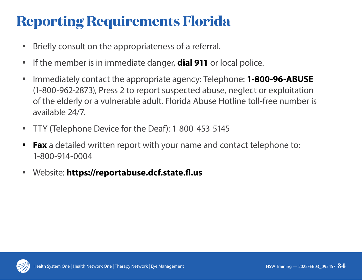# **Reporting Requirements Florida**

- Briefly consult on the appropriateness of a referral.
- If the member is in immediate danger, **dial 911** or local police.
- y Immediately contact the appropriate agency: Telephone: **1-800-96-ABUSE** (1-800-962-2873), Press 2 to report suspected abuse, neglect or exploitation of the elderly or a vulnerable adult. Florida Abuse Hotline toll-free number is available 24/7.
- TTY (Telephone Device for the Deaf): 1-800-453-5145
- **Fax** a detailed written report with your name and contact telephone to: 1-800-914-0004
- y Website: **https://reportabuse.dcf.state.fl.us**